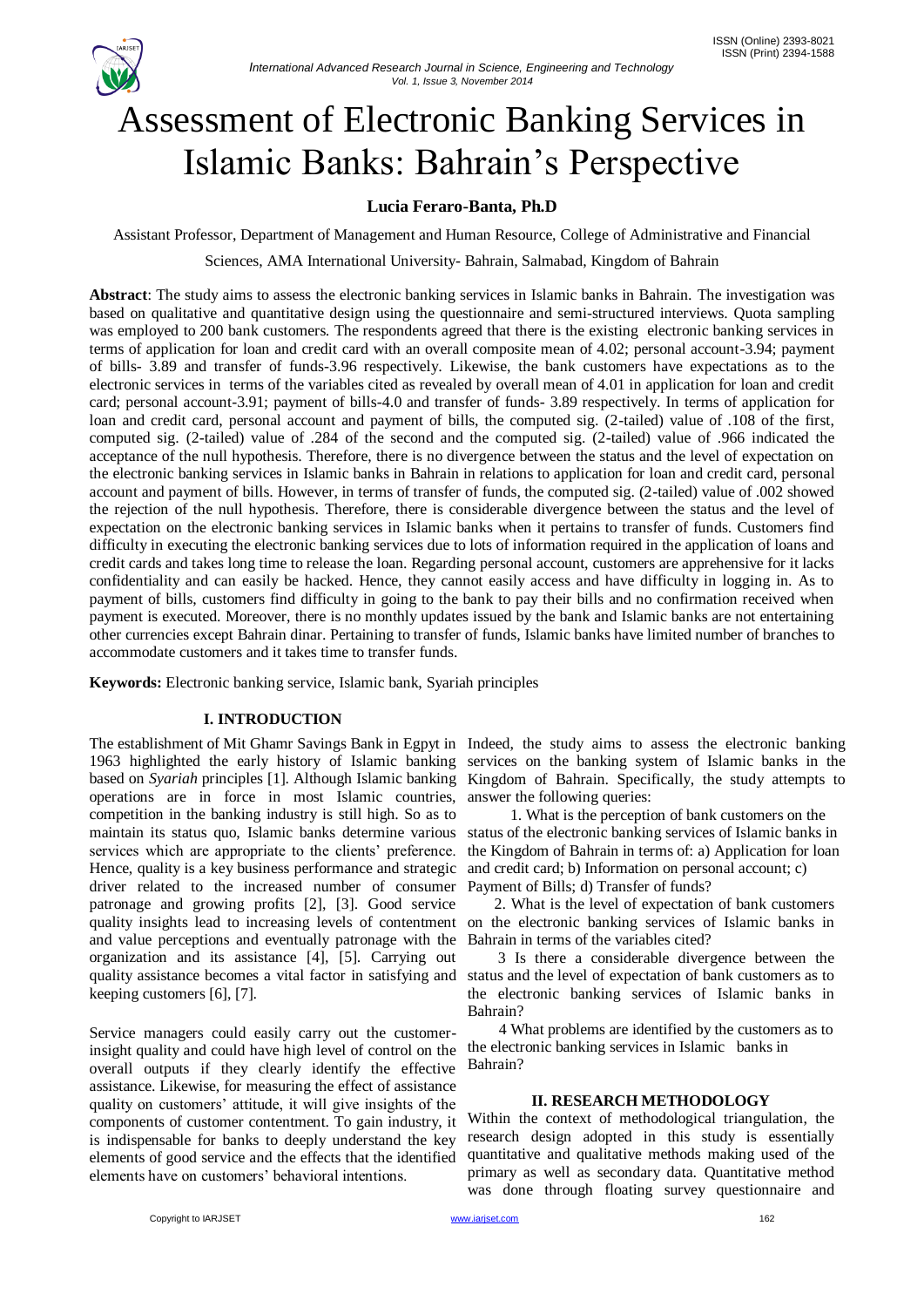

# Assessment of Electronic Banking Services in Islamic Banks: Bahrain"s Perspective

# **Lucia Feraro-Banta, Ph.D**

Assistant Professor, Department of Management and Human Resource, College of Administrative and Financial

Sciences, AMA International University- Bahrain, Salmabad, Kingdom of Bahrain

**Abstract**: The study aims to assess the electronic banking services in Islamic banks in Bahrain. The investigation was based on qualitative and quantitative design using the questionnaire and semi-structured interviews. Quota sampling was employed to 200 bank customers. The respondents agreed that there is the existing electronic banking services in terms of application for loan and credit card with an overall composite mean of 4.02; personal account-3.94; payment of bills- 3.89 and transfer of funds-3.96 respectively. Likewise, the bank customers have expectations as to the electronic services in terms of the variables cited as revealed by overall mean of 4.01 in application for loan and credit card; personal account-3.91; payment of bills-4.0 and transfer of funds- 3.89 respectively. In terms of application for loan and credit card, personal account and payment of bills, the computed sig. (2-tailed) value of .108 of the first, computed sig. (2-tailed) value of .284 of the second and the computed sig. (2-tailed) value of .966 indicated the acceptance of the null hypothesis. Therefore, there is no divergence between the status and the level of expectation on the electronic banking services in Islamic banks in Bahrain in relations to application for loan and credit card, personal account and payment of bills. However, in terms of transfer of funds, the computed sig. (2-tailed) value of .002 showed the rejection of the null hypothesis. Therefore, there is considerable divergence between the status and the level of expectation on the electronic banking services in Islamic banks when it pertains to transfer of funds. Customers find difficulty in executing the electronic banking services due to lots of information required in the application of loans and credit cards and takes long time to release the loan. Regarding personal account, customers are apprehensive for it lacks confidentiality and can easily be hacked. Hence, they cannot easily access and have difficulty in logging in. As to payment of bills, customers find difficulty in going to the bank to pay their bills and no confirmation received when payment is executed. Moreover, there is no monthly updates issued by the bank and Islamic banks are not entertaining other currencies except Bahrain dinar. Pertaining to transfer of funds, Islamic banks have limited number of branches to accommodate customers and it takes time to transfer funds.

**Keywords:** Electronic banking service, Islamic bank, Syariah principles

# **I. INTRODUCTION**

1963 highlighted the early history of Islamic banking based on *Syariah* principles [1]. Although Islamic banking operations are in force in most Islamic countries, competition in the banking industry is still high. So as to maintain its status quo, Islamic banks determine various services which are appropriate to the clients' preference. Hence, quality is a key business performance and strategic driver related to the increased number of consumer patronage and growing profits [2], [3]. Good service quality insights lead to increasing levels of contentment and value perceptions and eventually patronage with the organization and its assistance [4], [5]. Carrying out quality assistance becomes a vital factor in satisfying and keeping customers [6], [7].

Service managers could easily carry out the customerinsight quality and could have high level of control on the overall outputs if they clearly identify the effective assistance. Likewise, for measuring the effect of assistance quality on customers" attitude, it will give insights of the components of customer contentment. To gain industry, it is indispensable for banks to deeply understand the key elements of good service and the effects that the identified elements have on customers' behavioral intentions.

The establishment of Mit Ghamr Savings Bank in Egpyt in Indeed, the study aims to assess the electronic banking services on the banking system of Islamic banks in the Kingdom of Bahrain. Specifically, the study attempts to answer the following queries:

> 1. What is the perception of bank customers on the status of the electronic banking services of Islamic banks in the Kingdom of Bahrain in terms of: a) Application for loan and credit card; b) Information on personal account; c) Payment of Bills; d) Transfer of funds?

 2. What is the level of expectation of bank customers on the electronic banking services of Islamic banks in Bahrain in terms of the variables cited?

 3 Is there a considerable divergence between the status and the level of expectation of bank customers as to the electronic banking services of Islamic banks in Bahrain?

 4 What problems are identified by the customers as to the electronic banking services in Islamic banks in Bahrain?

# **II. RESEARCH METHODOLOGY**

Within the context of methodological triangulation, the research design adopted in this study is essentially quantitative and qualitative methods making used of the primary as well as secondary data. Quantitative method was done through floating survey questionnaire and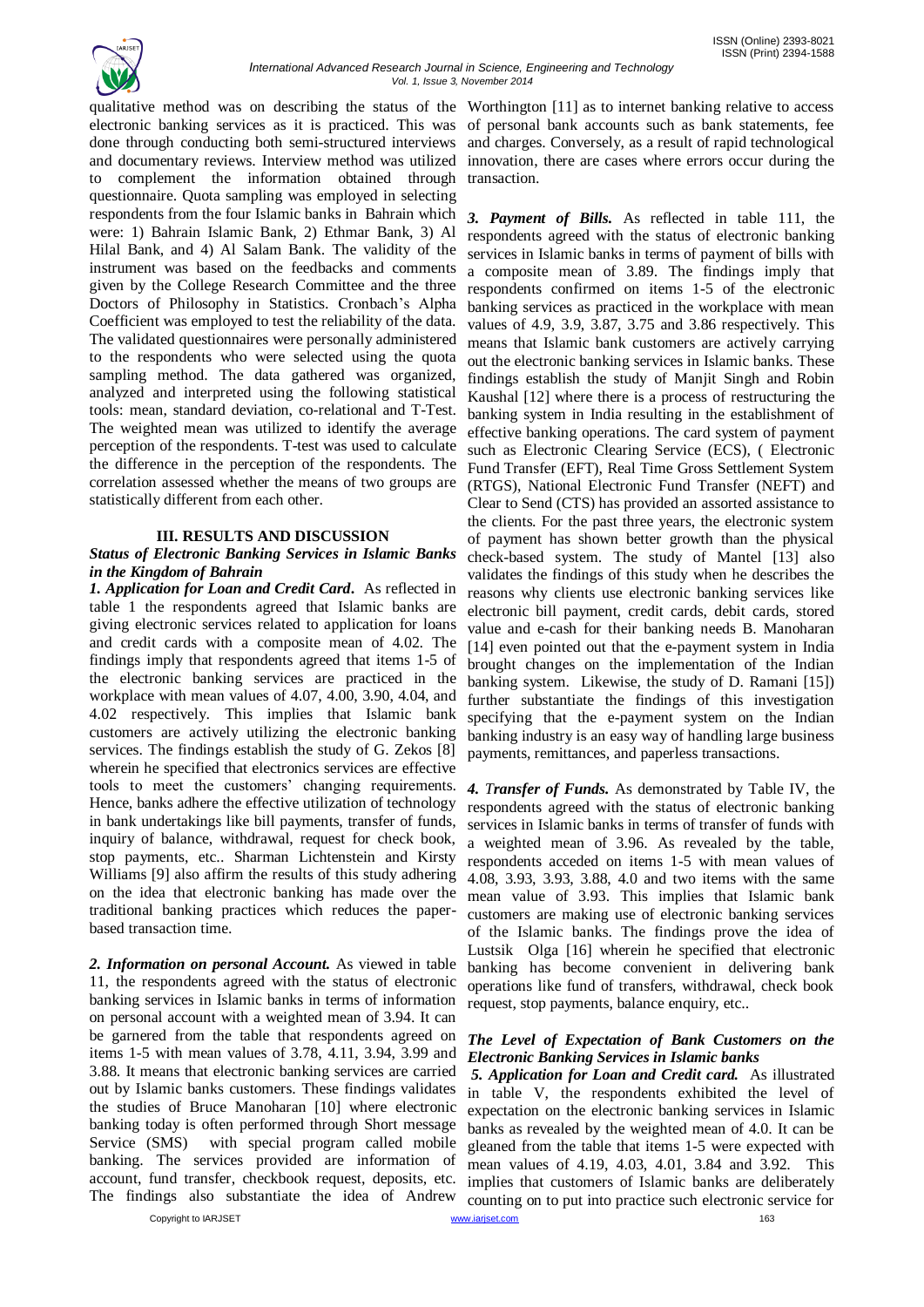

qualitative method was on describing the status of the Worthington [11] as to internet banking relative to access electronic banking services as it is practiced. This was of personal bank accounts such as bank statements, fee done through conducting both semi-structured interviews and charges. Conversely, as a result of rapid technological and documentary reviews. Interview method was utilized innovation, there are cases where errors occur during the to complement the information obtained through questionnaire. Quota sampling was employed in selecting respondents from the four Islamic banks in Bahrain which were: 1) Bahrain Islamic Bank, 2) Ethmar Bank, 3) Al Hilal Bank, and 4) Al Salam Bank. The validity of the instrument was based on the feedbacks and comments given by the College Research Committee and the three Doctors of Philosophy in Statistics. Cronbach"s Alpha Coefficient was employed to test the reliability of the data. The validated questionnaires were personally administered to the respondents who were selected using the quota sampling method. The data gathered was organized, analyzed and interpreted using the following statistical tools: mean, standard deviation, co-relational and T-Test. The weighted mean was utilized to identify the average perception of the respondents. T-test was used to calculate the difference in the perception of the respondents. The correlation assessed whether the means of two groups are statistically different from each other.

# **III. RESULTS AND DISCUSSION**

# *Status of Electronic Banking Services in Islamic Banks in the Kingdom of Bahrain*

*1. Application for Loan and Credit Card***.** As reflected in table 1 the respondents agreed that Islamic banks are giving electronic services related to application for loans and credit cards with a composite mean of 4.02. The findings imply that respondents agreed that items 1-5 of the electronic banking services are practiced in the workplace with mean values of 4.07, 4.00, 3.90, 4.04, and 4.02 respectively. This implies that Islamic bank customers are actively utilizing the electronic banking services. The findings establish the study of G. Zekos [8] wherein he specified that electronics services are effective tools to meet the customers' changing requirements. Hence, banks adhere the effective utilization of technology in bank undertakings like bill payments, transfer of funds, inquiry of balance, withdrawal, request for check book, stop payments, etc.. Sharman Lichtenstein and Kirsty Williams [9] also affirm the results of this study adhering on the idea that electronic banking has made over the traditional banking practices which reduces the paperbased transaction time.

*2. Information on personal Account.* As viewed in table 11, the respondents agreed with the status of electronic banking services in Islamic banks in terms of information on personal account with a weighted mean of 3.94. It can be garnered from the table that respondents agreed on items 1-5 with mean values of 3.78, 4.11, 3.94, 3.99 and 3.88. It means that electronic banking services are carried out by Islamic banks customers. These findings validates the studies of Bruce Manoharan [10] where electronic banking today is often performed through Short message Service (SMS) with special program called mobile banking. The services provided are information of account, fund transfer, checkbook request, deposits, etc. The findings also substantiate the idea of Andrew

transaction.

*3. Payment of Bills.* As reflected in table 111, the respondents agreed with the status of electronic banking services in Islamic banks in terms of payment of bills with a composite mean of 3.89. The findings imply that respondents confirmed on items 1-5 of the electronic banking services as practiced in the workplace with mean values of 4.9, 3.9, 3.87, 3.75 and 3.86 respectively. This means that Islamic bank customers are actively carrying out the electronic banking services in Islamic banks. These findings establish the study of Manjit Singh and Robin Kaushal [12] where there is a process of restructuring the banking system in India resulting in the establishment of effective banking operations. The card system of payment such as Electronic Clearing Service (ECS), ( Electronic Fund Transfer (EFT), Real Time Gross Settlement System (RTGS), National Electronic Fund Transfer (NEFT) and Clear to Send (CTS) has provided an assorted assistance to the clients. For the past three years, the electronic system of payment has shown better growth than the physical check-based system. The study of Mantel [13] also validates the findings of this study when he describes the reasons why clients use electronic banking services like electronic bill payment, credit cards, debit cards, stored value and e-cash for their banking needs B. Manoharan [14] even pointed out that the e-payment system in India brought changes on the implementation of the Indian banking system. Likewise, the study of D. Ramani [15]) further substantiate the findings of this investigation specifying that the e-payment system on the Indian banking industry is an easy way of handling large business payments, remittances, and paperless transactions.

*4. Transfer of Funds.* As demonstrated by Table IV, the respondents agreed with the status of electronic banking services in Islamic banks in terms of transfer of funds with a weighted mean of 3.96. As revealed by the table, respondents acceded on items 1-5 with mean values of 4.08, 3.93, 3.93, 3.88, 4.0 and two items with the same mean value of 3.93. This implies that Islamic bank customers are making use of electronic banking services of the Islamic banks. The findings prove the idea of Lustsik Olga [16] wherein he specified that electronic banking has become convenient in delivering bank operations like fund of transfers, withdrawal, check book request, stop payments, balance enquiry, etc..

# *The Level of Expectation of Bank Customers on the Electronic Banking Services in Islamic banks*

Copyright to IARJSET **163** and the community of the control of the control of the control of the control of the control of the control of the control of the control of the control of the control of the control of the contr *5. Application for Loan and Credit card.* As illustrated in table V, the respondents exhibited the level of expectation on the electronic banking services in Islamic banks as revealed by the weighted mean of 4.0. It can be gleaned from the table that items 1-5 were expected with mean values of 4.19, 4.03, 4.01, 3.84 and 3.92. This implies that customers of Islamic banks are deliberately counting on to put into practice such electronic service for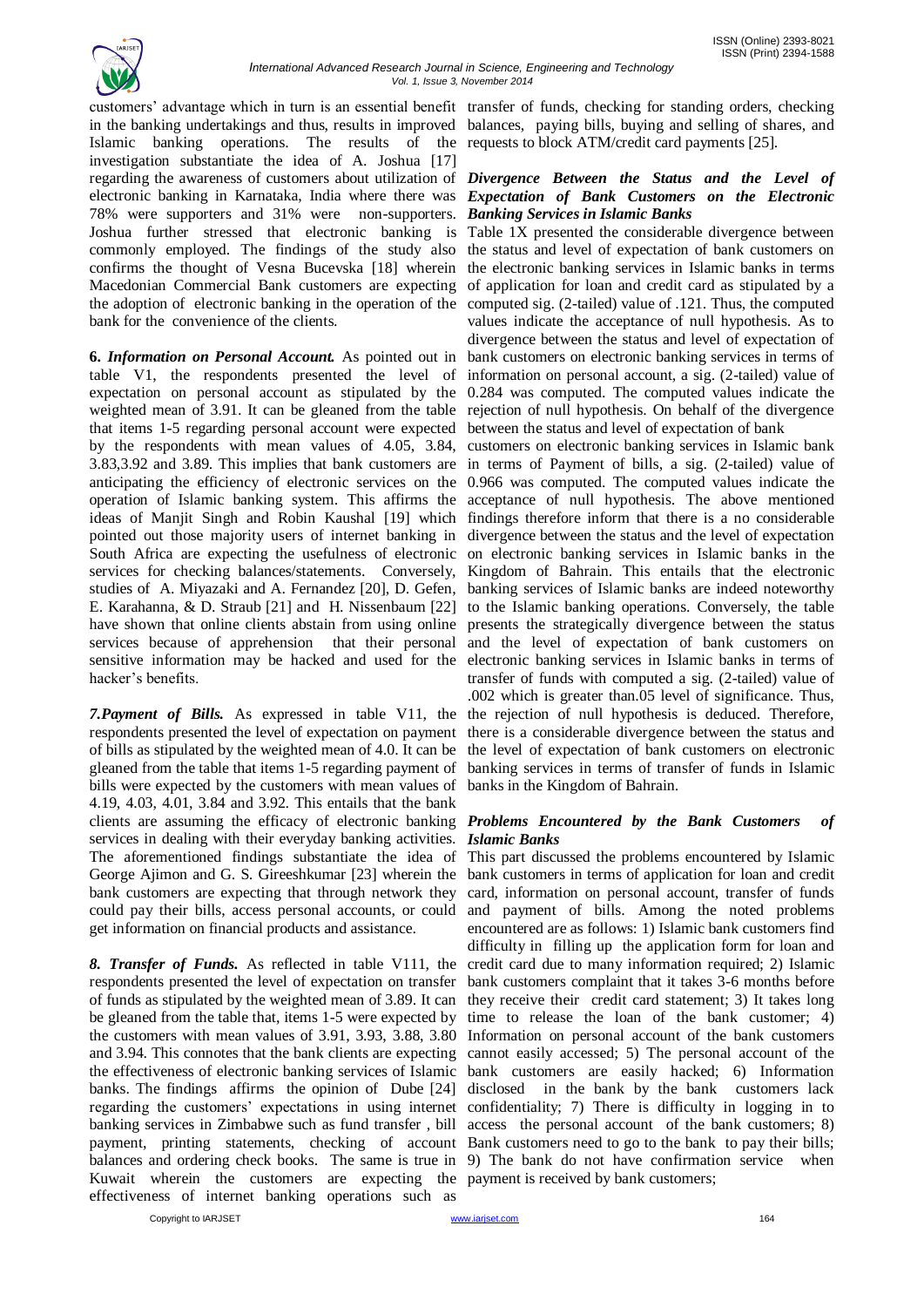

customers" advantage which in turn is an essential benefit transfer of funds, checking for standing orders, checking in the banking undertakings and thus, results in improved balances, paying bills, buying and selling of shares, and Islamic banking operations. The results of the requests to block ATM/credit card payments [25]. investigation substantiate the idea of A. Joshua [17] regarding the awareness of customers about utilization of *Divergence Between the Status and the Level of*  electronic banking in Karnataka, India where there was *Expectation of Bank Customers on the Electronic* 78% were supporters and 31% were non-supporters. *Banking Services in Islamic Banks*  Joshua further stressed that electronic banking is Table 1X presented the considerable divergence between commonly employed. The findings of the study also the status and level of expectation of bank customers on confirms the thought of Vesna Bucevska [18] wherein the electronic banking services in Islamic banks in terms Macedonian Commercial Bank customers are expecting of application for loan and credit card as stipulated by a the adoption of electronic banking in the operation of the computed sig. (2-tailed) value of .121. Thus, the computed bank for the convenience of the clients.

**6.** *Information on Personal Account.* As pointed out in table V1, the respondents presented the level of expectation on personal account as stipulated by the weighted mean of 3.91. It can be gleaned from the table that items 1-5 regarding personal account were expected by the respondents with mean values of 4.05, 3.84, 3.83,3.92 and 3.89. This implies that bank customers are in terms of Payment of bills, a sig. (2-tailed) value of anticipating the efficiency of electronic services on the 0.966 was computed. The computed values indicate the operation of Islamic banking system. This affirms the acceptance of null hypothesis. The above mentioned ideas of Manjit Singh and Robin Kaushal [19] which findings therefore inform that there is a no considerable pointed out those majority users of internet banking in divergence between the status and the level of expectation South Africa are expecting the usefulness of electronic on electronic banking services in Islamic banks in the services for checking balances/statements. Conversely, Kingdom of Bahrain. This entails that the electronic studies of A. Miyazaki and A. Fernandez [20], D. Gefen, banking services of Islamic banks are indeed noteworthy E. Karahanna, & D. Straub [21] and H. Nissenbaum [22] to the Islamic banking operations. Conversely, the table have shown that online clients abstain from using online presents the strategically divergence between the status services because of apprehension that their personal and the level of expectation of bank customers on sensitive information may be hacked and used for the electronic banking services in Islamic banks in terms of hacker's benefits.

*7.Payment of Bills.* As expressed in table V11, the the rejection of null hypothesis is deduced. Therefore, respondents presented the level of expectation on payment there is a considerable divergence between the status and of bills as stipulated by the weighted mean of 4.0. It can be the level of expectation of bank customers on electronic gleaned from the table that items 1-5 regarding payment of banking services in terms of transfer of funds in Islamic bills were expected by the customers with mean values of banks in the Kingdom of Bahrain. 4.19, 4.03, 4.01, 3.84 and 3.92. This entails that the bank clients are assuming the efficacy of electronic banking *Problems Encountered by the Bank Customers of*  services in dealing with their everyday banking activities. *Islamic Banks*  The aforementioned findings substantiate the idea of This part discussed the problems encountered by Islamic George Ajimon and G. S. Gireeshkumar [23] wherein the bank customers in terms of application for loan and credit bank customers are expecting that through network they card, information on personal account, transfer of funds could pay their bills, access personal accounts, or could and payment of bills. Among the noted problems get information on financial products and assistance.

*8. Transfer of Funds.* As reflected in table V111, the credit card due to many information required; 2) Islamic respondents presented the level of expectation on transfer of funds as stipulated by the weighted mean of 3.89. It can they receive their credit card statement; 3) It takes long be gleaned from the table that, items 1-5 were expected by the customers with mean values of 3.91, 3.93, 3.88, 3.80 Information on personal account of the bank customers and 3.94. This connotes that the bank clients are expecting the effectiveness of electronic banking services of Islamic banks. The findings affirms the opinion of Dube [24] regarding the customers" expectations in using internet banking services in Zimbabwe such as fund transfer , bill payment, printing statements, checking of account Bank customers need to go to the bank to pay their bills; balances and ordering check books. The same is true in 9) The bank do not have confirmation service when Kuwait wherein the customers are expecting the payment is received by bank customers;effectiveness of internet banking operations such as

values indicate the acceptance of null hypothesis. As to divergence between the status and level of expectation of bank customers on electronic banking services in terms of information on personal account, a sig. (2-tailed) value of 0.284 was computed. The computed values indicate the rejection of null hypothesis. On behalf of the divergence between the status and level of expectation of bank

customers on electronic banking services in Islamic bank transfer of funds with computed a sig. (2-tailed) value of .002 which is greater than.05 level of significance. Thus,

encountered are as follows: 1) Islamic bank customers find difficulty in filling up the application form for loan and bank customers complaint that it takes 3-6 months before time to release the loan of the bank customer; 4) cannot easily accessed; 5) The personal account of the bank customers are easily hacked; 6) Information disclosed in the bank by the bank customers lack confidentiality; 7) There is difficulty in logging in to access the personal account of the bank customers; 8)

Copyright to IARJSET **164** Copyright to IARJSET **164** Copyright to IARJSET **164** Copyright to IARJSET **164** Copyright to IARJSET **164** Copyright to IARJSET **164** Copyright to IARJSET **164** Copyright to IARJSET **164** Copyri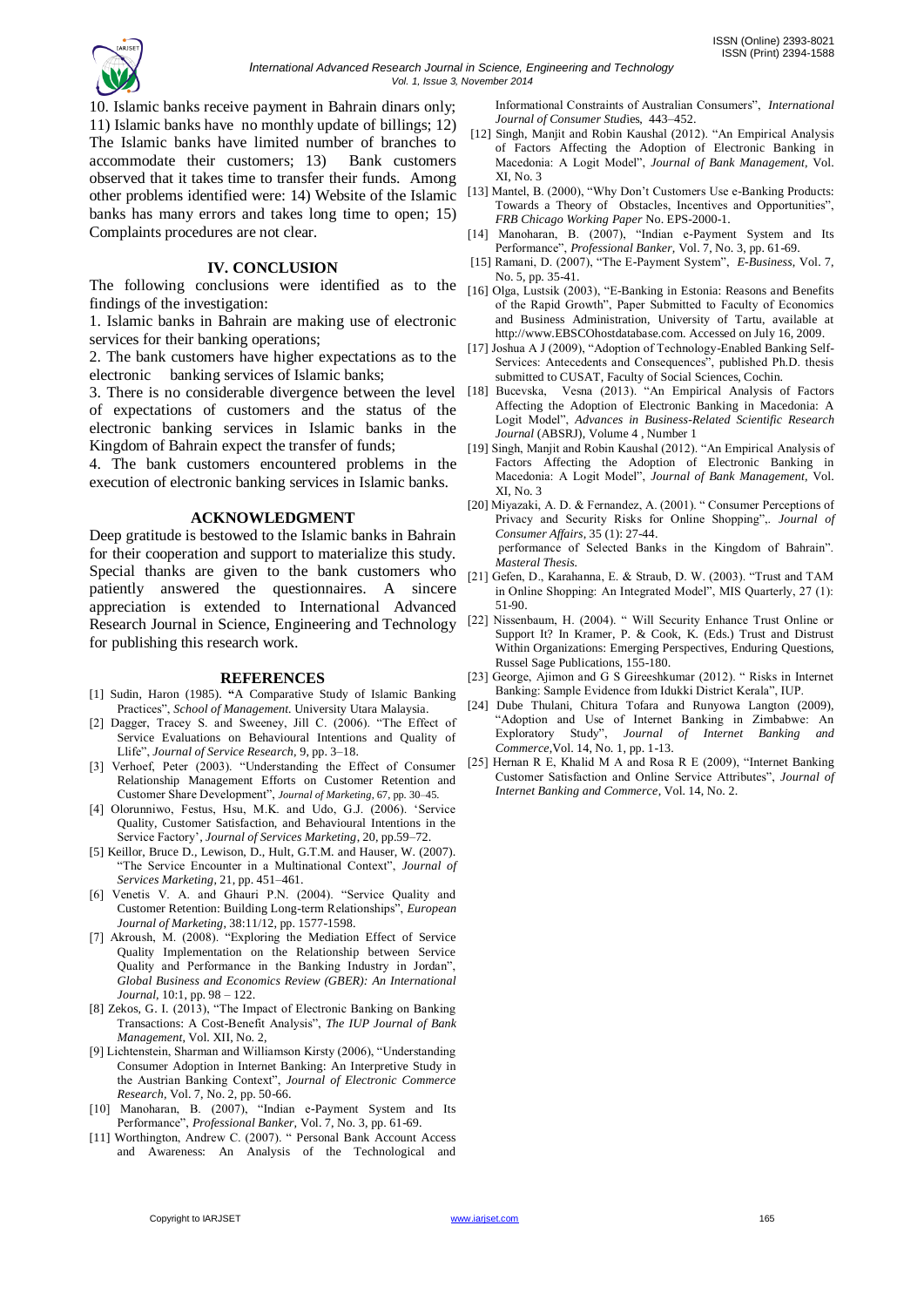

10. Islamic banks receive payment in Bahrain dinars only; 11) Islamic banks have no monthly update of billings; 12) The Islamic banks have limited number of branches to accommodate their customers; 13) Bank customers observed that it takes time to transfer their funds. Among other problems identified were: 14) Website of the Islamic banks has many errors and takes long time to open; 15) Complaints procedures are not clear.

#### **IV. CONCLUSION**

The following conclusions were identified as to the findings of the investigation:

1. Islamic banks in Bahrain are making use of electronic services for their banking operations;

2. The bank customers have higher expectations as to the electronic banking services of Islamic banks;

3. There is no considerable divergence between the level of expectations of customers and the status of the electronic banking services in Islamic banks in the Kingdom of Bahrain expect the transfer of funds;

4. The bank customers encountered problems in the execution of electronic banking services in Islamic banks.

### **ACKNOWLEDGMENT**

Deep gratitude is bestowed to the Islamic banks in Bahrain for their cooperation and support to materialize this study. Special thanks are given to the bank customers who patiently answered the questionnaires. A sincere appreciation is extended to International Advanced Research Journal in Science, Engineering and Technology for publishing this research work.

#### **REFERENCES**

- [1] Sudin, Haron (1985). **"**A Comparative Study of Islamic Banking Practices", *School of Management.* University Utara Malaysia.
- [2] Dagger, Tracey S. and Sweeney, Jill C. (2006). "The Effect of Service Evaluations on Behavioural Intentions and Quality of Llife", *Journal of Service Research,* 9, pp. 3–18.
- [3] Verhoef, Peter (2003). "Understanding the Effect of Consumer Relationship Management Efforts on Customer Retention and Customer Share Development", *Journal of Marketing*, 67, pp. 30–45.
- [4] Olorunniwo, Festus, Hsu, M.K. and Udo, G.J. (2006). 'Service Quality, Customer Satisfaction, and Behavioural Intentions in the Service Factory"*, Journal of Services Marketing*, 20, pp.59–72.
- [5] Keillor, Bruce D., Lewison, D., Hult, G.T.M. and Hauser, W. (2007). "The Service Encounter in a Multinational Context", *Journal of Services Marketing*, 21, pp. 451–461.
- [6] Venetis V. A. and Ghauri P.N. (2004). "Service Quality and Customer Retention: Building Long-term Relationships", *European Journal of Marketing*, 38:11/12, pp. 1577-1598.
- [7] Akroush, M. (2008). "Exploring the Mediation Effect of Service Quality Implementation on the Relationship between Service Quality and Performance in the Banking Industry in Jordan", *Global Business and Economics Review (GBER): An International Journal,* 10:1, pp. 98 – 122.
- [8] Zekos, G. I. (2013), "The Impact of Electronic Banking on Banking Transactions: A Cost-Benefit Analysis", *The IUP Journal of Bank Management*, Vol. XII, No. 2,
- [9] Lichtenstein, Sharman and Williamson Kirsty (2006), "Understanding Consumer Adoption in Internet Banking: An Interpretive Study in the Austrian Banking Context", *Journal of Electronic Commerce Research,* Vol. 7, No. 2, pp. 50-66.
- [10] Manoharan, B. (2007), "Indian e-Payment System and Its Performance", *Professional Banker,* Vol. 7, No. 3, pp. 61-69.
- [11] Worthington, Andrew C. (2007). " Personal Bank Account Access and Awareness: An Analysis of the Technological and

Informational Constraints of Australian Consumers", *International Journal of Consumer Stud*ies, 443–452.

- [12] Singh, Manjit and Robin Kaushal (2012). "An Empirical Analysis of Factors Affecting the Adoption of Electronic Banking in Macedonia: A Logit Model", *Journal of Bank Management,* Vol. XI, No. 3
- [13] Mantel, B. (2000), "Why Don't Customers Use e-Banking Products: Towards a Theory of Obstacles, Incentives and Opportunities", *FRB Chicago Working Paper* No. EPS-2000-1.
- [14] Manoharan, B. (2007), "Indian e-Payment System and Its Performance", *Professional Banker,* Vol. 7, No. 3, pp. 61-69.
- [15] Ramani, D. (2007), "The E-Payment System", *E-Business*, Vol. 7, No. 5, pp. 35-41.
- [16] Olga, Lustsik (2003), "E-Banking in Estonia: Reasons and Benefits of the Rapid Growth", Paper Submitted to Faculty of Economics and Business Administration, University of Tartu, available at http://www.EBSCOhostdatabase.com. Accessed on July 16, 2009.
- [17] Joshua A J (2009), "Adoption of Technology-Enabled Banking Self-Services: Antecedents and Consequences", published Ph.D. thesis submitted to CUSAT, Faculty of Social Sciences, Cochin.
- [18] Bucevska, Vesna (2013). "An Empirical Analysis of Factors Affecting the Adoption of Electronic Banking in Macedonia: A Logit Model", *Advances in Business-Related Scientific Research Journal* (ABSRJ), Volume 4 , Number 1
- [19] Singh, Manjit and Robin Kaushal (2012). "An Empirical Analysis of Factors Affecting the Adoption of Electronic Banking in Macedonia: A Logit Model", *Journal of Bank Management,* Vol. XI, No. 3
- [20] Miyazaki, A. D. & Fernandez, A. (2001). " Consumer Perceptions of Privacy and Security Risks for Online Shopping",. *Journal of Consumer Affairs*, 35 (1): 27-44.

 performance of Selected Banks in the Kingdom of Bahrain". *Masteral Thesis.*

- [21] Gefen, D., Karahanna, E. & Straub, D. W. (2003). "Trust and TAM in Online Shopping: An Integrated Model", MIS Quarterly, 27 (1): 51-90.
- [22] Nissenbaum, H. (2004). " Will Security Enhance Trust Online or Support It? In Kramer, P. & Cook, K. (Eds.) Trust and Distrust Within Organizations: Emerging Perspectives, Enduring Questions, Russel Sage Publications, 155-180.
- [23] George, Ajimon and G S Gireeshkumar (2012). " Risks in Internet Banking: Sample Evidence from Idukki District Kerala", IUP.
- [24] Dube Thulani, Chitura Tofara and Runyowa Langton (2009), "Adoption and Use of Internet Banking in Zimbabwe: An Exploratory Study", *Journal of Internet Banking and Commerce*,Vol. 14, No. 1, pp. 1-13.
- [25] Hernan R E, Khalid M A and Rosa R E (2009), "Internet Banking Customer Satisfaction and Online Service Attributes", *Journal of Internet Banking and Commerce*, Vol. 14, No. 2.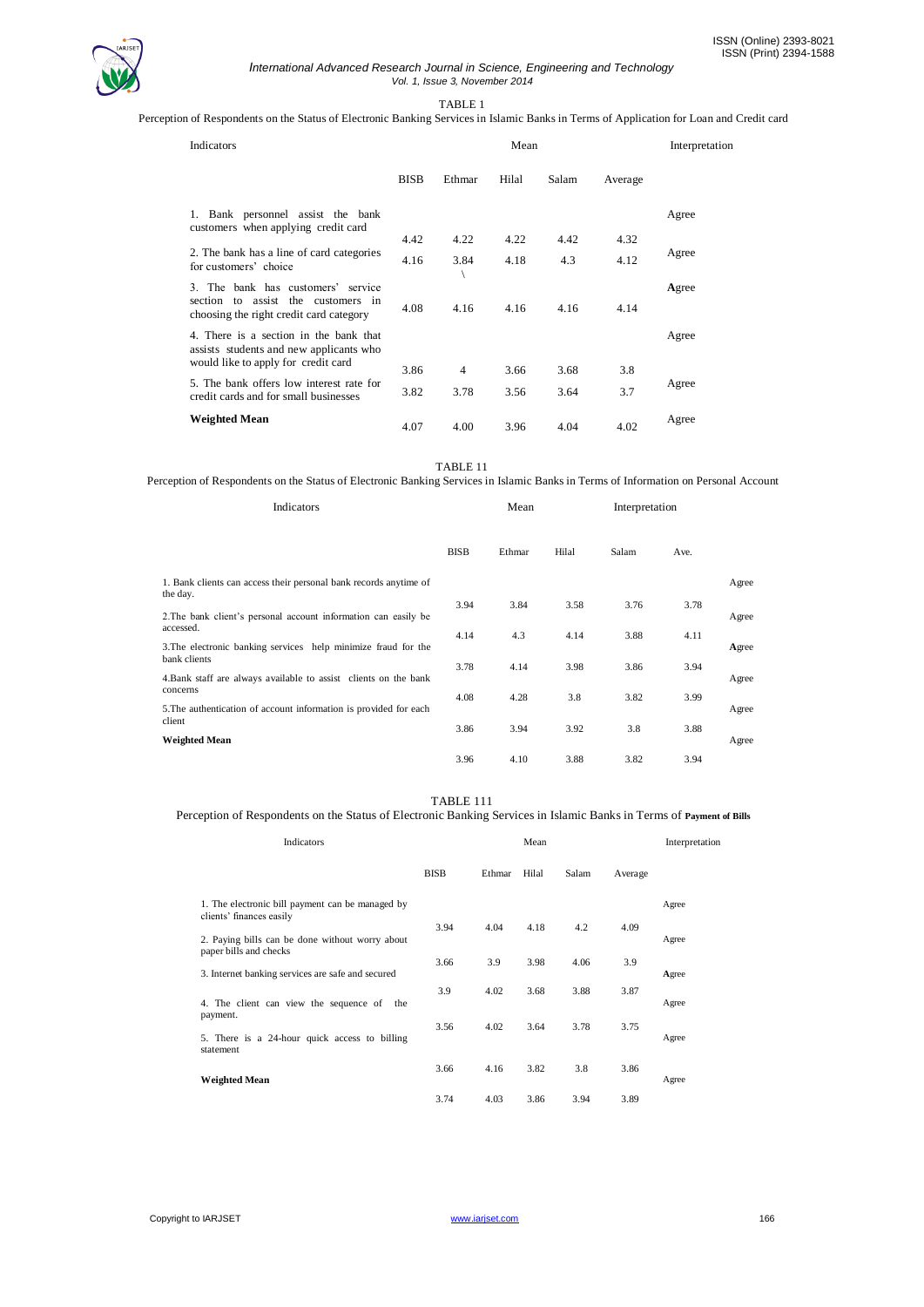

#### *International Advanced Research Journal in Science, Engineering and Technology Vol. 1, Issue 3, November 2014*

TABLE 1

Perception of Respondents on the Status of Electronic Banking Services in Islamic Banks in Terms of Application for Loan and Credit card

| Indicators                                                                                                               |             | Interpretation |       |       |         |       |
|--------------------------------------------------------------------------------------------------------------------------|-------------|----------------|-------|-------|---------|-------|
|                                                                                                                          | <b>BISB</b> | Ethmar         | Hilal | Salam | Average |       |
| 1. Bank personnel assist the bank<br>customers when applying credit card                                                 |             |                |       |       |         | Agree |
|                                                                                                                          | 4.42        | 4.22           | 4.22  | 4.42  | 4.32    |       |
| 2. The bank has a line of card categories<br>for customers' choice                                                       | 4.16        | 3.84           | 4.18  | 4.3   | 4.12    | Agree |
| 3. The bank has customers' service<br>section to assist the customers in<br>choosing the right credit card category      | 4.08        | 4.16           | 4.16  | 4.16  | 4.14    | Agree |
| 4. There is a section in the bank that<br>assists students and new applicants who<br>would like to apply for credit card |             |                |       |       |         | Agree |
|                                                                                                                          | 3.86        | $\overline{4}$ | 3.66  | 3.68  | 3.8     |       |
| 5. The bank offers low interest rate for<br>credit cards and for small businesses                                        | 3.82        | 3.78           | 3.56  | 3.64  | 3.7     | Agree |
| <b>Weighted Mean</b>                                                                                                     | 4.07        | 4.00           | 3.96  | 4.04  | 4.02    | Agree |

TABLE 11

Perception of Respondents on the Status of Electronic Banking Services in Islamic Banks in Terms of Information on Personal Account

| Indicators                                                                       |             | Mean   |       |       | Interpretation |       |  |
|----------------------------------------------------------------------------------|-------------|--------|-------|-------|----------------|-------|--|
|                                                                                  | <b>BISB</b> | Ethmar | Hilal | Salam | Ave.           |       |  |
| 1. Bank clients can access their personal bank records anytime of<br>the day.    |             |        |       |       |                | Agree |  |
| 2. The bank client's personal account information can easily be<br>accessed.     | 3.94        | 3.84   | 3.58  | 3.76  | 3.78           | Agree |  |
| 3. The electronic banking services help minimize fraud for the                   | 4.14        | 4.3    | 4.14  | 3.88  | 4.11           | Agree |  |
| bank clients<br>4. Bank staff are always available to assist clients on the bank | 3.78        | 4.14   | 3.98  | 3.86  | 3.94           | Agree |  |
| concerns<br>5. The authentication of account information is provided for each    | 4.08        | 4.28   | 3.8   | 3.82  | 3.99           | Agree |  |
| client<br><b>Weighted Mean</b>                                                   | 3.86        | 3.94   | 3.92  | 3.8   | 3.88           | Agree |  |
|                                                                                  | 3.96        | 4.10   | 3.88  | 3.82  | 3.94           |       |  |

#### TABLE 111

### Perception of Respondents on the Status of Electronic Banking Services in Islamic Banks in Terms of **Payment of Bills**

| Indicators                                                                   |             |        | Mean  |       |         | Interpretation |
|------------------------------------------------------------------------------|-------------|--------|-------|-------|---------|----------------|
|                                                                              | <b>BISB</b> | Ethmar | Hilal | Salam | Average |                |
| 1. The electronic bill payment can be managed by<br>clients' finances easily | 3.94        | 4.04   | 4.18  | 4.2   | 4.09    | Agree          |
| 2. Paying bills can be done without worry about<br>paper bills and checks    |             |        |       |       |         | Agree          |
| 3. Internet banking services are safe and secured                            | 3.66        | 3.9    | 3.98  | 4.06  | 3.9     | Agree          |
| 4. The client can view the sequence of the                                   | 3.9         | 4.02   | 3.68  | 3.88  | 3.87    | Agree          |
| payment.<br>5. There is a 24-hour quick access to billing<br>statement       | 3.56        | 4.02   | 3.64  | 3.78  | 3.75    | Agree          |
| <b>Weighted Mean</b>                                                         | 3.66        | 4.16   | 3.82  | 3.8   | 3.86    | Agree          |
|                                                                              | 3.74        | 4.03   | 3.86  | 3.94  | 3.89    |                |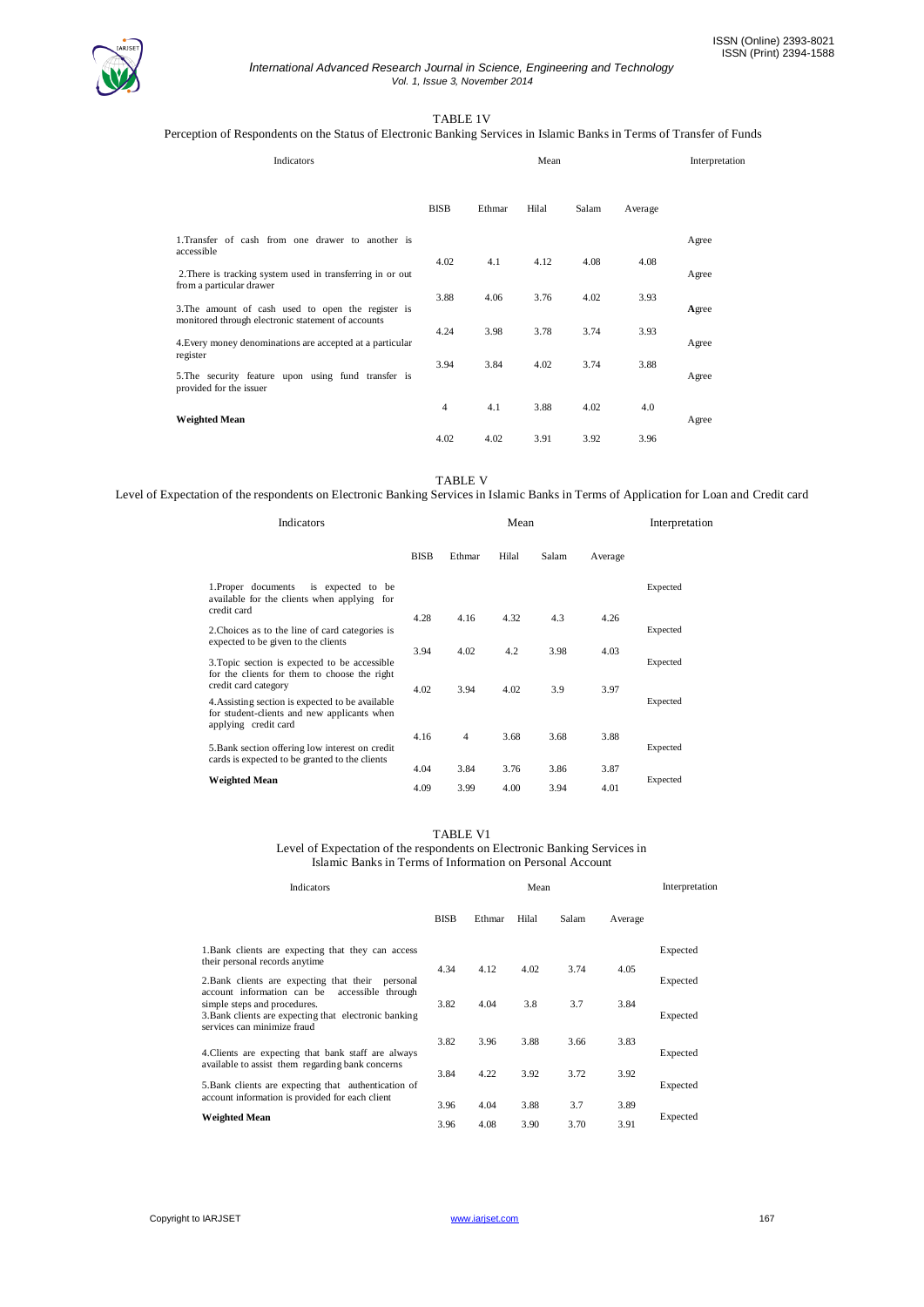

#### *International Advanced Research Journal in Science, Engineering and Technology Vol. 1, Issue 3, November 2014*

# TABLE 1V

# Perception of Respondents on the Status of Electronic Banking Services in Islamic Banks in Terms of Transfer of Funds

| Indicators                                                                                                      |             | Interpretation |       |       |         |       |
|-----------------------------------------------------------------------------------------------------------------|-------------|----------------|-------|-------|---------|-------|
|                                                                                                                 | <b>BISB</b> | Ethmar         | Hilal | Salam | Average |       |
| 1. Transfer of cash from one drawer to another is<br>accessible                                                 |             |                |       |       |         | Agree |
| 2. There is tracking system used in transferring in or out<br>from a particular drawer                          | 4.02        | 4.1            | 4.12  | 4.08  | 4.08    | Agree |
| 3. The amount of cash used to open the register is                                                              | 3.88        | 4.06           | 3.76  | 4.02  | 3.93    | Agree |
| monitored through electronic statement of accounts<br>4. Every money denominations are accepted at a particular | 4.24        | 3.98           | 3.78  | 3.74  | 3.93    | Agree |
| register<br>5. The security feature upon using fund transfer is                                                 | 3.94        | 3.84           | 4.02  | 3.74  | 3.88    | Agree |
| provided for the issuer<br><b>Weighted Mean</b>                                                                 | 4           | 4.1            | 3.88  | 4.02  | 4.0     | Agree |
|                                                                                                                 | 4.02        | 4.02           | 3.91  | 3.92  | 3.96    |       |

TABLE V

Level of Expectation of the respondents on Electronic Banking Services in Islamic Banks in Terms of Application for Loan and Credit card

| Indicators                                                                                                              | Mean        |                |       |       |         | Interpretation |
|-------------------------------------------------------------------------------------------------------------------------|-------------|----------------|-------|-------|---------|----------------|
|                                                                                                                         | <b>BISB</b> | Ethmar         | Hilal | Salam | Average |                |
| 1. Proper documents<br>is expected to be<br>available for the clients when applying for<br>credit card                  |             |                |       |       |         | Expected       |
|                                                                                                                         | 4.28        | 4.16           | 4.32  | 4.3   | 4.26    |                |
| 2. Choices as to the line of card categories is<br>expected to be given to the clients                                  | 3.94        | 4.02           | 4.2   | 3.98  | 4.03    | Expected       |
| 3. Topic section is expected to be accessible<br>for the clients for them to choose the right<br>credit card category   | 4.02        | 3.94           | 4.02  | 3.9   | 3.97    | Expected       |
| 4. Assisting section is expected to be available<br>for student-clients and new applicants when<br>applying credit card |             |                |       |       |         | Expected       |
| 5. Bank section offering low interest on credit                                                                         | 4.16        | $\overline{4}$ | 3.68  | 3.68  | 3.88    | Expected       |
| cards is expected to be granted to the clients                                                                          | 4.04        | 3.84           | 3.76  | 3.86  | 3.87    |                |
| <b>Weighted Mean</b>                                                                                                    | 4.09        | 3.99           | 4.00  | 3.94  | 4.01    | Expected       |

#### TABLE V1

Level of Expectation of the respondents on Electronic Banking Services in Islamic Banks in Terms of Information on Personal Account

| <b>Indicators</b>                                                                                                                                                        |             | Mean   |       |       |         |          |  |  |
|--------------------------------------------------------------------------------------------------------------------------------------------------------------------------|-------------|--------|-------|-------|---------|----------|--|--|
|                                                                                                                                                                          | <b>BISB</b> | Ethmar | Hilal | Salam | Average |          |  |  |
| 1. Bank clients are expecting that they can access<br>their personal records anytime                                                                                     |             |        |       |       |         | Expected |  |  |
| 2. Bank clients are expecting that their<br>personal                                                                                                                     | 4.34        | 4.12   | 4.02  | 3.74  | 4.05    | Expected |  |  |
| account information can be<br>accessible through<br>simple steps and procedures.<br>3. Bank clients are expecting that electronic banking<br>services can minimize fraud | 3.82        | 4.04   | 3.8   | 3.7   | 3.84    | Expected |  |  |
| 4. Clients are expecting that bank staff are always                                                                                                                      | 3.82        | 3.96   | 3.88  | 3.66  | 3.83    | Expected |  |  |
| available to assist them regarding bank concerns<br>5. Bank clients are expecting that authentication of                                                                 | 3.84        | 4.22   | 3.92  | 3.72  | 3.92    | Expected |  |  |
| account information is provided for each client                                                                                                                          | 3.96        | 4.04   | 3.88  | 3.7   | 3.89    |          |  |  |
| <b>Weighted Mean</b>                                                                                                                                                     | 3.96        | 4.08   | 3.90  | 3.70  | 3.91    | Expected |  |  |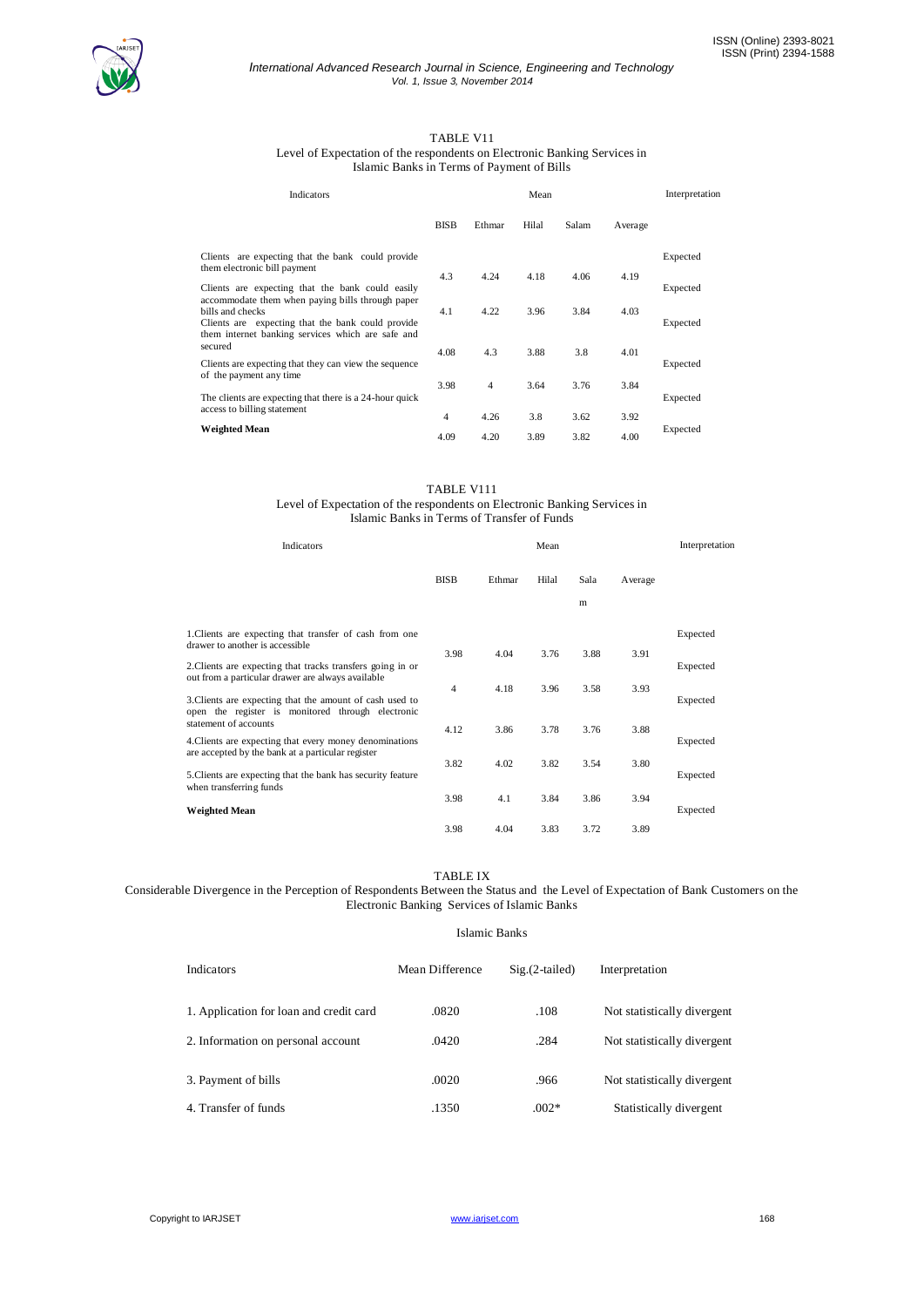

#### *International Advanced Research Journal in Science, Engineering and Technology Vol. 1, Issue 3, November 2014*

# TABLE V11

Level of Expectation of the respondents on Electronic Banking Services in Islamic Banks in Terms of Payment of Bills

| Indicators                                                                                                                 |             | Mean           |       |       |         |          |  |
|----------------------------------------------------------------------------------------------------------------------------|-------------|----------------|-------|-------|---------|----------|--|
|                                                                                                                            | <b>BISB</b> | Ethmar         | Hilal | Salam | Average |          |  |
| Clients are expecting that the bank could provide<br>them electronic bill payment                                          | 4.3         |                |       |       |         | Expected |  |
| Clients are expecting that the bank could easily<br>accommodate them when paying bills through paper                       |             | 4.24           | 4.18  | 4.06  | 4.19    | Expected |  |
| bills and checks<br>Clients are expecting that the bank could provide<br>them internet banking services which are safe and | 4.1         | 4.22           | 3.96  | 3.84  | 4.03    | Expected |  |
| secured<br>Clients are expecting that they can view the sequence<br>of the payment any time                                | 4.08        | 4.3            | 3.88  | 3.8   | 4.01    | Expected |  |
| The clients are expecting that there is a 24-hour quick                                                                    | 3.98        | $\overline{4}$ | 3.64  | 3.76  | 3.84    | Expected |  |
| access to billing statement                                                                                                | 4           | 4.26           | 3.8   | 3.62  | 3.92    |          |  |
| <b>Weighted Mean</b>                                                                                                       | 4.09        | 4.20           | 3.89  | 3.82  | 4.00    | Expected |  |

#### TABLE V111

#### Level of Expectation of the respondents on Electronic Banking Services in Islamic Banks in Terms of Transfer of Funds

| Indicators                                                                                                      |                | Mean   |       |      |         |          |
|-----------------------------------------------------------------------------------------------------------------|----------------|--------|-------|------|---------|----------|
|                                                                                                                 | <b>BISB</b>    | Ethmar | Hilal | Sala | Average |          |
|                                                                                                                 |                |        |       | m    |         |          |
| 1. Clients are expecting that transfer of cash from one<br>drawer to another is accessible                      |                |        |       |      |         | Expected |
| 2. Clients are expecting that tracks transfers going in or<br>out from a particular drawer are always available | 3.98           | 4.04   | 3.76  | 3.88 | 3.91    | Expected |
| 3. Clients are expecting that the amount of cash used to<br>open the register is monitored through electronic   | $\overline{4}$ | 4.18   | 3.96  | 3.58 | 3.93    | Expected |
| statement of accounts                                                                                           | 4.12           | 3.86   | 3.78  | 3.76 | 3.88    |          |
| 4. Clients are expecting that every money denominations<br>are accepted by the bank at a particular register    | 3.82           | 4.02   | 3.82  | 3.54 | 3.80    | Expected |
| 5. Clients are expecting that the bank has security feature<br>when transferring funds                          |                |        |       |      |         | Expected |
| <b>Weighted Mean</b>                                                                                            | 3.98           | 4.1    | 3.84  | 3.86 | 3.94    | Expected |
|                                                                                                                 | 3.98           | 4.04   | 3.83  | 3.72 | 3.89    |          |

#### TABLE IX

Considerable Divergence in the Perception of Respondents Between the Status and the Level of Expectation of Bank Customers on the Electronic Banking Services of Islamic Banks

## Islamic Banks

| <b>Indicators</b>                       | Mean Difference | $Sig.(2-tailed)$ | Interpretation              |
|-----------------------------------------|-----------------|------------------|-----------------------------|
| 1. Application for loan and credit card | .0820           | .108             | Not statistically divergent |
| 2. Information on personal account      | .0420           | .284             | Not statistically divergent |
| 3. Payment of bills                     | .0020           | .966             | Not statistically divergent |
| 4. Transfer of funds                    | .1350           | $.002*$          | Statistically divergent     |